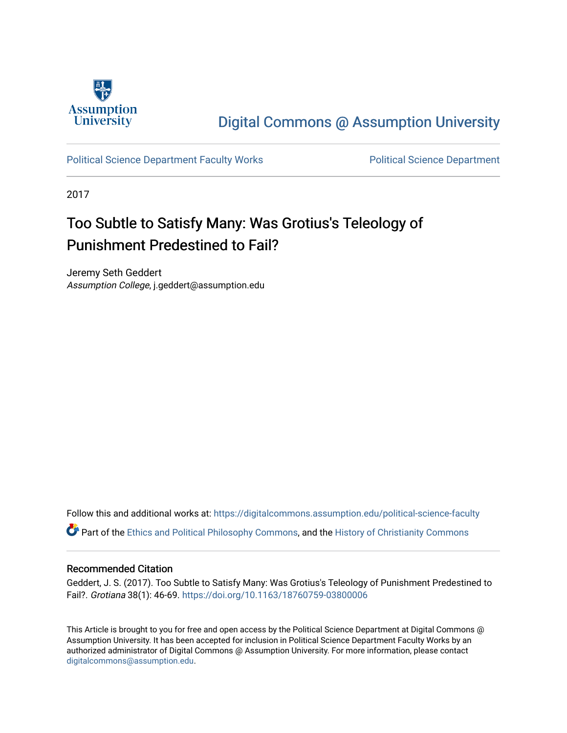

## [Digital Commons @ Assumption University](https://digitalcommons.assumption.edu/)

[Political Science Department Faculty Works](https://digitalcommons.assumption.edu/political-science-faculty) **Political Science Department** 

2017

# Too Subtle to Satisfy Many: Was Grotius's Teleology of Punishment Predestined to Fail?

Jeremy Seth Geddert Assumption College, j.geddert@assumption.edu

Follow this and additional works at: [https://digitalcommons.assumption.edu/political-science-faculty](https://digitalcommons.assumption.edu/political-science-faculty?utm_source=digitalcommons.assumption.edu%2Fpolitical-science-faculty%2F40&utm_medium=PDF&utm_campaign=PDFCoverPages) Part of the [Ethics and Political Philosophy Commons,](http://network.bepress.com/hgg/discipline/529?utm_source=digitalcommons.assumption.edu%2Fpolitical-science-faculty%2F40&utm_medium=PDF&utm_campaign=PDFCoverPages) and the [History of Christianity Commons](http://network.bepress.com/hgg/discipline/1182?utm_source=digitalcommons.assumption.edu%2Fpolitical-science-faculty%2F40&utm_medium=PDF&utm_campaign=PDFCoverPages)

#### Recommended Citation

Geddert, J. S. (2017). Too Subtle to Satisfy Many: Was Grotius's Teleology of Punishment Predestined to Fail?. Grotiana 38(1): 46-69. <https://doi.org/10.1163/18760759-03800006>

This Article is brought to you for free and open access by the Political Science Department at Digital Commons @ Assumption University. It has been accepted for inclusion in Political Science Department Faculty Works by an authorized administrator of Digital Commons @ Assumption University. For more information, please contact [digitalcommons@assumption.edu](mailto:digitalcommons@assumption.edu).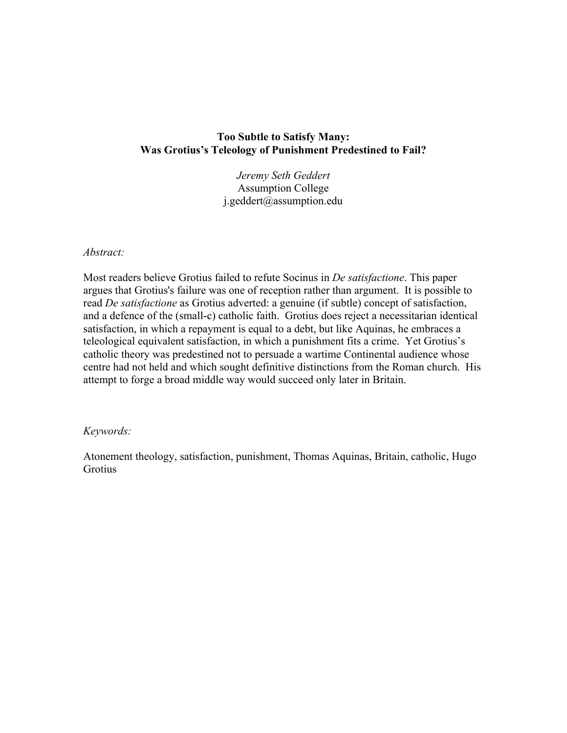## **Too Subtle to Satisfy Many: Was Grotius's Teleology of Punishment Predestined to Fail?**

*Jeremy Seth Geddert* Assumption College j.geddert@assumption.edu

## *Abstract:*

Most readers believe Grotius failed to refute Socinus in *De satisfactione*. This paper argues that Grotius's failure was one of reception rather than argument. It is possible to read *De satisfactione* as Grotius adverted: a genuine (if subtle) concept of satisfaction, and a defence of the (small-c) catholic faith. Grotius does reject a necessitarian identical satisfaction, in which a repayment is equal to a debt, but like Aquinas, he embraces a teleological equivalent satisfaction, in which a punishment fits a crime. Yet Grotius's catholic theory was predestined not to persuade a wartime Continental audience whose centre had not held and which sought definitive distinctions from the Roman church. His attempt to forge a broad middle way would succeed only later in Britain.

## *Keywords:*

Atonement theology, satisfaction, punishment, Thomas Aquinas, Britain, catholic, Hugo Grotius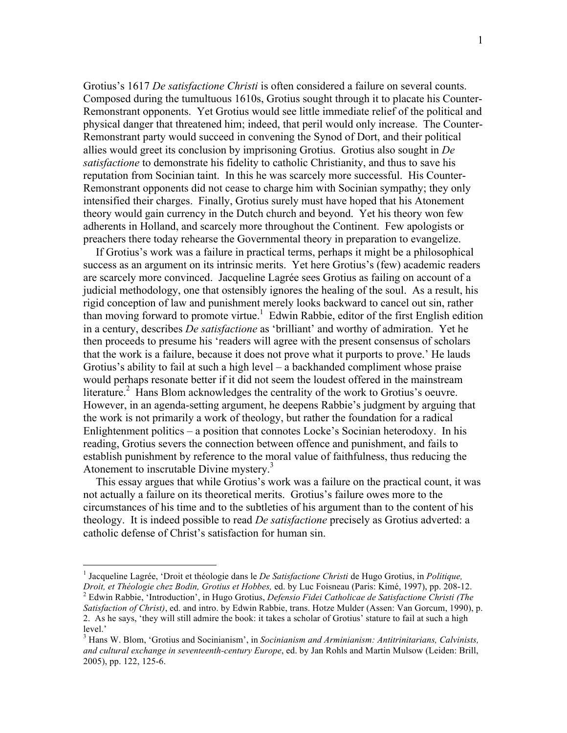Grotius's 1617 *De satisfactione Christi* is often considered a failure on several counts. Composed during the tumultuous 1610s, Grotius sought through it to placate his Counter-Remonstrant opponents. Yet Grotius would see little immediate relief of the political and physical danger that threatened him; indeed, that peril would only increase. The Counter-Remonstrant party would succeed in convening the Synod of Dort, and their political allies would greet its conclusion by imprisoning Grotius. Grotius also sought in *De satisfactione* to demonstrate his fidelity to catholic Christianity, and thus to save his reputation from Socinian taint. In this he was scarcely more successful. His Counter-Remonstrant opponents did not cease to charge him with Socinian sympathy; they only intensified their charges. Finally, Grotius surely must have hoped that his Atonement theory would gain currency in the Dutch church and beyond. Yet his theory won few adherents in Holland, and scarcely more throughout the Continent. Few apologists or preachers there today rehearse the Governmental theory in preparation to evangelize.

If Grotius's work was a failure in practical terms, perhaps it might be a philosophical success as an argument on its intrinsic merits. Yet here Grotius's (few) academic readers are scarcely more convinced. Jacqueline Lagrée sees Grotius as failing on account of a judicial methodology, one that ostensibly ignores the healing of the soul. As a result, his rigid conception of law and punishment merely looks backward to cancel out sin, rather than moving forward to promote virtue.<sup>1</sup> Edwin Rabbie, editor of the first English edition in a century, describes *De satisfactione* as 'brilliant' and worthy of admiration. Yet he then proceeds to presume his 'readers will agree with the present consensus of scholars that the work is a failure, because it does not prove what it purports to prove.' He lauds Grotius's ability to fail at such a high level – a backhanded compliment whose praise would perhaps resonate better if it did not seem the loudest offered in the mainstream literature.<sup>2</sup> Hans Blom acknowledges the centrality of the work to Grotius's oeuvre. However, in an agenda-setting argument, he deepens Rabbie's judgment by arguing that the work is not primarily a work of theology, but rather the foundation for a radical Enlightenment politics – a position that connotes Locke's Socinian heterodoxy. In his reading, Grotius severs the connection between offence and punishment, and fails to establish punishment by reference to the moral value of faithfulness, thus reducing the Atonement to inscrutable Divine mystery.<sup>3</sup>

This essay argues that while Grotius's work was a failure on the practical count, it was not actually a failure on its theoretical merits. Grotius's failure owes more to the circumstances of his time and to the subtleties of his argument than to the content of his theology. It is indeed possible to read *De satisfactione* precisely as Grotius adverted: a catholic defense of Christ's satisfaction for human sin.

 <sup>1</sup> Jacqueline Lagrée, 'Droit et théologie dans le *De Satisfactione Christi* de Hugo Grotius, in *Politique, Droit, et Théologie chez Bodin, Grotius et Hobbes, ed. by Luc Foisneau (Paris: Kimé, 1997), pp. 208-12.* <sup>2</sup> Edwin Rabbie, 'Introduction', in Hugo Grotius, *Defensio Fidei Catholicae de Satisfactione Christi (The Satisfaction of Christ)*, ed. and intro. by Edwin Rabbie, trans. Hotze Mulder (Assen: Van Gorcum, 1990), p. 2. As he says, 'they will still admire the book: it takes a scholar of Grotius' stature to fail at such a high level.'

<sup>3</sup> Hans W. Blom, 'Grotius and Socinianism', in *Socinianism and Arminianism: Antitrinitarians, Calvinists, and cultural exchange in seventeenth-century Europe*, ed. by Jan Rohls and Martin Mulsow (Leiden: Brill, 2005), pp. 122, 125-6.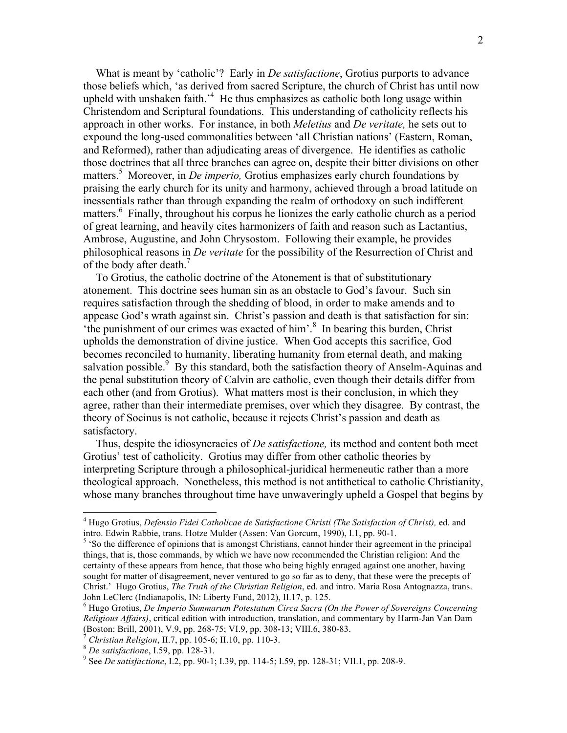What is meant by 'catholic'? Early in *De satisfactione*, Grotius purports to advance those beliefs which, 'as derived from sacred Scripture, the church of Christ has until now upheld with unshaken faith.<sup>4</sup> He thus emphasizes as catholic both long usage within Christendom and Scriptural foundations. This understanding of catholicity reflects his approach in other works. For instance, in both *Meletius* and *De veritate,* he sets out to expound the long-used commonalities between 'all Christian nations' (Eastern, Roman, and Reformed), rather than adjudicating areas of divergence. He identifies as catholic those doctrines that all three branches can agree on, despite their bitter divisions on other matters.<sup>5</sup> Moreover, in *De imperio,* Grotius emphasizes early church foundations by praising the early church for its unity and harmony, achieved through a broad latitude on inessentials rather than through expanding the realm of orthodoxy on such indifferent matters. 6 Finally, throughout his corpus he lionizes the early catholic church as a period of great learning, and heavily cites harmonizers of faith and reason such as Lactantius, Ambrose, Augustine, and John Chrysostom. Following their example, he provides philosophical reasons in *De veritate* for the possibility of the Resurrection of Christ and of the body after death.<sup>7</sup>

To Grotius, the catholic doctrine of the Atonement is that of substitutionary atonement. This doctrine sees human sin as an obstacle to God's favour. Such sin requires satisfaction through the shedding of blood, in order to make amends and to appease God's wrath against sin. Christ's passion and death is that satisfaction for sin: 'the punishment of our crimes was exacted of him'. <sup>8</sup> In bearing this burden, Christ upholds the demonstration of divine justice. When God accepts this sacrifice, God becomes reconciled to humanity, liberating humanity from eternal death, and making salvation possible.<sup>9</sup> By this standard, both the satisfaction theory of Anselm-Aquinas and the penal substitution theory of Calvin are catholic, even though their details differ from each other (and from Grotius). What matters most is their conclusion, in which they agree, rather than their intermediate premises, over which they disagree. By contrast, the theory of Socinus is not catholic, because it rejects Christ's passion and death as satisfactory.

Thus, despite the idiosyncracies of *De satisfactione,* its method and content both meet Grotius' test of catholicity. Grotius may differ from other catholic theories by interpreting Scripture through a philosophical-juridical hermeneutic rather than a more theological approach. Nonetheless, this method is not antithetical to catholic Christianity, whose many branches throughout time have unwaveringly upheld a Gospel that begins by

<sup>&</sup>lt;sup>4</sup> Hugo Grotius, *Defensio Fidei Catholicae de Satisfactione Christi (The Satisfaction of Christ)*, ed. and intro. Edwin Rabbie, trans. Hotze Mulder (Assen: Van Gorcum, 1990), I.1, pp. 90-1.

 $<sup>5</sup>$  'So the difference of opinions that is amongst Christians, cannot hinder their agreement in the principal</sup> things, that is, those commands, by which we have now recommended the Christian religion: And the certainty of these appears from hence, that those who being highly enraged against one another, having sought for matter of disagreement, never ventured to go so far as to deny, that these were the precepts of Christ.' Hugo Grotius, *The Truth of the Christian Religion*, ed. and intro. Maria Rosa Antognazza, trans. John LeClerc (Indianapolis, IN: Liberty Fund, 2012), II.17, p. 125.

<sup>6</sup> Hugo Grotius, *De Imperio Summarum Potestatum Circa Sacra (On the Power of Sovereigns Concerning Religious Affairs)*, critical edition with introduction, translation, and commentary by Harm-Jan Van Dam (Boston: Brill, 2001), V.9, pp. 268-75; VI.9, pp. 308-13; VIII.6, 380-83.<br>
<sup>7</sup> Christian Religion, II.7, pp. 105-6; II.10, pp. 110-3.<br>
<sup>8</sup> De satisfactione, I.59, pp. 128-31.<br>
<sup>9</sup> See De satisfactione, I.2, pp. 90-1; I.39,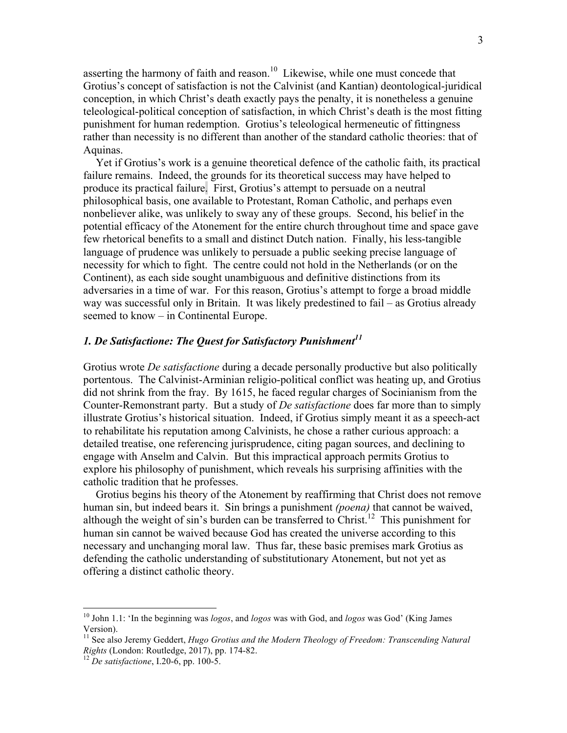asserting the harmony of faith and reason.<sup>10</sup> Likewise, while one must concede that Grotius's concept of satisfaction is not the Calvinist (and Kantian) deontological-juridical conception, in which Christ's death exactly pays the penalty, it is nonetheless a genuine teleological-political conception of satisfaction, in which Christ's death is the most fitting punishment for human redemption. Grotius's teleological hermeneutic of fittingness rather than necessity is no different than another of the standard catholic theories: that of Aquinas.

Yet if Grotius's work is a genuine theoretical defence of the catholic faith, its practical failure remains. Indeed, the grounds for its theoretical success may have helped to produce its practical failure. First, Grotius's attempt to persuade on a neutral philosophical basis, one available to Protestant, Roman Catholic, and perhaps even nonbeliever alike, was unlikely to sway any of these groups. Second, his belief in the potential efficacy of the Atonement for the entire church throughout time and space gave few rhetorical benefits to a small and distinct Dutch nation. Finally, his less-tangible language of prudence was unlikely to persuade a public seeking precise language of necessity for which to fight. The centre could not hold in the Netherlands (or on the Continent), as each side sought unambiguous and definitive distinctions from its adversaries in a time of war. For this reason, Grotius's attempt to forge a broad middle way was successful only in Britain. It was likely predestined to fail – as Grotius already seemed to know – in Continental Europe.

## *1. De Satisfactione: The Quest for Satisfactory Punishment*<sup>11</sup>

Grotius wrote *De satisfactione* during a decade personally productive but also politically portentous. The Calvinist-Arminian religio-political conflict was heating up, and Grotius did not shrink from the fray. By 1615, he faced regular charges of Socinianism from the Counter-Remonstrant party. But a study of *De satisfactione* does far more than to simply illustrate Grotius's historical situation. Indeed, if Grotius simply meant it as a speech-act to rehabilitate his reputation among Calvinists, he chose a rather curious approach: a detailed treatise, one referencing jurisprudence, citing pagan sources, and declining to engage with Anselm and Calvin. But this impractical approach permits Grotius to explore his philosophy of punishment, which reveals his surprising affinities with the catholic tradition that he professes.

Grotius begins his theory of the Atonement by reaffirming that Christ does not remove human sin, but indeed bears it. Sin brings a punishment *(poena)* that cannot be waived, although the weight of sin's burden can be transferred to Christ.<sup>12</sup> This punishment for human sin cannot be waived because God has created the universe according to this necessary and unchanging moral law. Thus far, these basic premises mark Grotius as defending the catholic understanding of substitutionary Atonement, but not yet as offering a distinct catholic theory.

 <sup>10</sup> John 1.1: 'In the beginning was *logos*, and *logos* was with God, and *logos* was God' (King James Version).

<sup>&</sup>lt;sup>11</sup> See also Jeremy Geddert, *Hugo Grotius and the Modern Theology of Freedom: Transcending Natural Rights* (London: Routledge, 2017), pp. 174-82. <sup>12</sup> *De satisfactione*, I.20-6, pp. 100-5.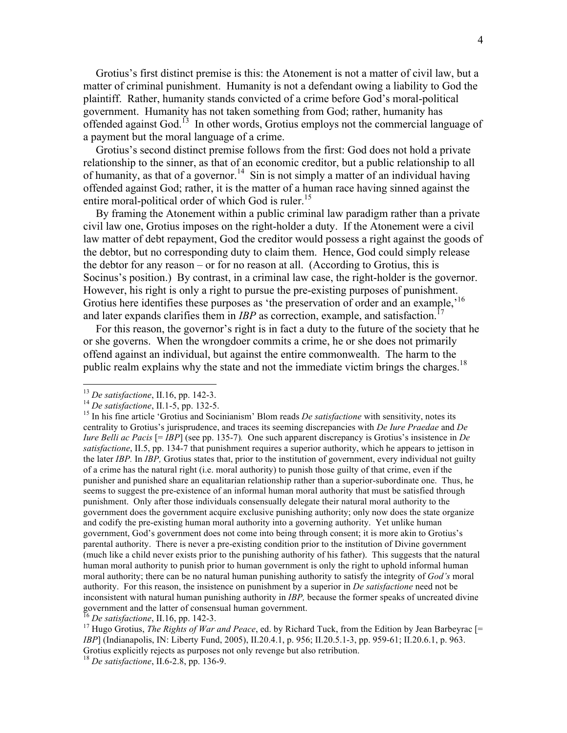Grotius's first distinct premise is this: the Atonement is not a matter of civil law, but a matter of criminal punishment. Humanity is not a defendant owing a liability to God the plaintiff. Rather, humanity stands convicted of a crime before God's moral-political government. Humanity has not taken something from God; rather, humanity has offended against God.<sup>13</sup> In other words, Grotius employs not the commercial language of a payment but the moral language of a crime.

Grotius's second distinct premise follows from the first: God does not hold a private relationship to the sinner, as that of an economic creditor, but a public relationship to all of humanity, as that of a governor.<sup>14</sup> Sin is not simply a matter of an individual having offended against God; rather, it is the matter of a human race having sinned against the entire moral-political order of which God is ruler.<sup>15</sup>

By framing the Atonement within a public criminal law paradigm rather than a private civil law one, Grotius imposes on the right-holder a duty. If the Atonement were a civil law matter of debt repayment, God the creditor would possess a right against the goods of the debtor, but no corresponding duty to claim them. Hence, God could simply release the debtor for any reason – or for no reason at all. (According to Grotius, this is Socinus's position.) By contrast, in a criminal law case, the right-holder is the governor. However, his right is only a right to pursue the pre-existing purposes of punishment. Grotius here identifies these purposes as 'the preservation of order and an example,'<sup>16</sup> and later expands clarifies them in  $IBP$  as correction, example, and satisfaction.<sup>17</sup>

For this reason, the governor's right is in fact a duty to the future of the society that he or she governs. When the wrongdoer commits a crime, he or she does not primarily offend against an individual, but against the entire commonwealth. The harm to the public realm explains why the state and not the immediate victim brings the charges.<sup>18</sup>

<sup>&</sup>lt;sup>13</sup> *De satisfactione*, II.16, pp. 142-3.<br><sup>14</sup> *De satisfactione*, II.1-5, pp. 132-5.<br><sup>15</sup> In his fine article 'Grotius and Socinianism' Blom reads *De satisfactione* with sensitivity, notes its centrality to Grotius's jurisprudence, and traces its seeming discrepancies with *De Iure Praedae* and *De Iure Belli ac Pacis* [= *IBP*] (see pp. 135-7)*.* One such apparent discrepancy is Grotius's insistence in *De satisfactione*, II.5, pp. 134-7 that punishment requires a superior authority, which he appears to jettison in the later *IBP.* In *IBP,* Grotius states that, prior to the institution of government, every individual not guilty of a crime has the natural right (i.e. moral authority) to punish those guilty of that crime, even if the punisher and punished share an equalitarian relationship rather than a superior-subordinate one. Thus, he seems to suggest the pre-existence of an informal human moral authority that must be satisfied through punishment. Only after those individuals consensually delegate their natural moral authority to the government does the government acquire exclusive punishing authority; only now does the state organize and codify the pre-existing human moral authority into a governing authority. Yet unlike human government, God's government does not come into being through consent; it is more akin to Grotius's parental authority. There is never a pre-existing condition prior to the institution of Divine government (much like a child never exists prior to the punishing authority of his father). This suggests that the natural human moral authority to punish prior to human government is only the right to uphold informal human moral authority; there can be no natural human punishing authority to satisfy the integrity of *God's* moral authority. For this reason, the insistence on punishment by a superior in *De satisfactione* need not be inconsistent with natural human punishing authority in *IBP,* because the former speaks of uncreated divine government and the latter of consensual human government.<br><sup>16</sup> De satisfactione, II.16, pp. 142-3.

<sup>&</sup>lt;sup>17</sup> Hugo Grotius, *The Rights of War and Peace*, ed. by Richard Tuck, from the Edition by Jean Barbeyrac [= *IBP*] (Indianapolis, IN: Liberty Fund, 2005), II.20.4.1, p. 956; II.20.5.1-3, pp. 959-61; II.20.6.1, p. 963. Grotius explicitly rejects as purposes not only revenge but also retribution.

<sup>18</sup> *De satisfactione*, II.6-2.8, pp. 136-9.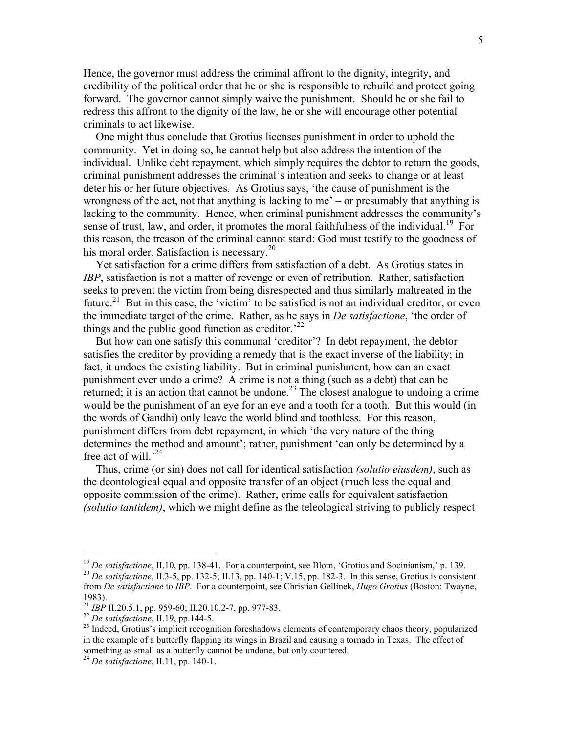Hence, the governor must address the criminal affront to the dignity, integrity, and credibility of the political order that he or she is responsible to rebuild and protect going forward. The governor cannot simply waive the punishment. Should he or she fail to redress this affront to the dignity of the law, he or she will encourage other potential criminals to act likewise.

One might thus conclude that Grotius licenses punishment in order to uphold the community. Yet in doing so, he cannot help but also address the intention of the individual. Unlike debt repayment, which simply requires the debtor to return the goods, criminal punishment addresses the criminal's intention and seeks to change or at least deter his or her future objectives. As Grotius says, 'the cause of punishment is the wrongness of the act, not that anything is lacking to me' – or presumably that anything is lacking to the community. Hence, when criminal punishment addresses the community's sense of trust, law, and order, it promotes the moral faithfulness of the individual.<sup>19</sup> For this reason, the treason of the criminal cannot stand: God must testify to the goodness of his moral order. Satisfaction is necessary.<sup>20</sup>

Yet satisfaction for a crime differs from satisfaction of a debt. As Grotius states in *IBP*, satisfaction is not a matter of revenge or even of retribution. Rather, satisfaction seeks to prevent the victim from being disrespected and thus similarly maltreated in the future.<sup>21</sup> But in this case, the 'victim' to be satisfied is not an individual creditor, or even the immediate target of the crime. Rather, as he says in *De satisfactione*, 'the order of things and the public good function as creditor.<sup>222</sup>

But how can one satisfy this communal 'creditor'? In debt repayment, the debtor satisfies the creditor by providing a remedy that is the exact inverse of the liability; in fact, it undoes the existing liability. But in criminal punishment, how can an exact punishment ever undo a crime? A crime is not a thing (such as a debt) that can be returned; it is an action that cannot be undone.<sup>23</sup> The closest analogue to undoing a crime would be the punishment of an eye for an eye and a tooth for a tooth. But this would (in the words of Gandhi) only leave the world blind and toothless. For this reason, punishment differs from debt repayment, in which 'the very nature of the thing determines the method and amount'; rather, punishment 'can only be determined by a free act of will.'24

Thus, crime (or sin) does not call for identical satisfaction *(solutio eiusdem)*, such as the deontological equal and opposite transfer of an object (much less the equal and opposite commission of the crime). Rather, crime calls for equivalent satisfaction *(solutio tantidem)*, which we might define as the teleological striving to publicly respect

<sup>&</sup>lt;sup>19</sup> De satisfactione, II.10, pp. 138-41. For a counterpoint, see Blom, 'Grotius and Socinianism,' p. 139.<br><sup>20</sup> De satisfactione, II.3-5, pp. 132-5; II.13, pp. 140-1; V.15, pp. 182-3. In this sense, Grotius is consistent

from *De satisfactione* to *IBP*. For a counterpoint, see Christian Gellinek, *Hugo Grotius* (Boston: Twayne, 1983).<br> $^{21}$  IBP II.20.5.1, pp. 959-60; II.20.10.2-7, pp. 977-83.

<sup>&</sup>lt;sup>22</sup> *De satisfactione*, II.19, pp. 144-5.<br><sup>23</sup> Indeed, Grotius's implicit recognition foreshadows elements of contemporary chaos theory, popularized in the example of a butterfly flapping its wings in Brazil and causing a tornado in Texas. The effect of something as small as a butterfly cannot be undone, but only countered.

<sup>24</sup> *De satisfactione*, II.11, pp. 140-1.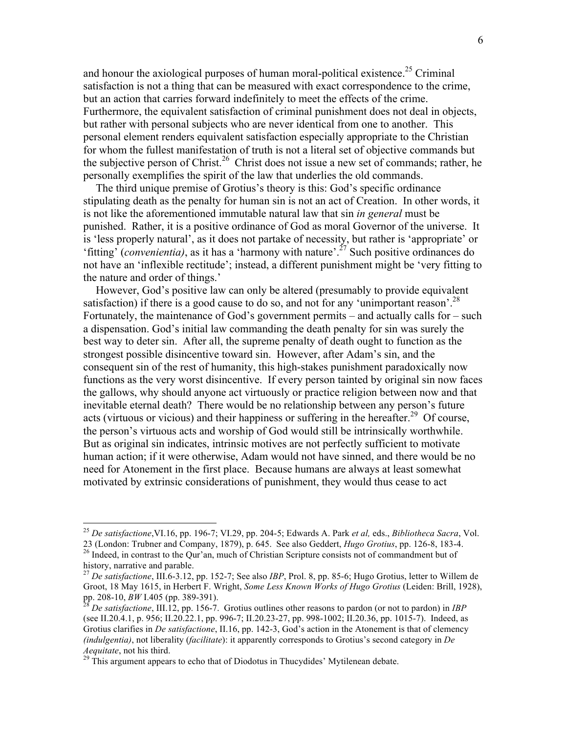and honour the axiological purposes of human moral-political existence.<sup>25</sup> Criminal satisfaction is not a thing that can be measured with exact correspondence to the crime, but an action that carries forward indefinitely to meet the effects of the crime. Furthermore, the equivalent satisfaction of criminal punishment does not deal in objects, but rather with personal subjects who are never identical from one to another. This personal element renders equivalent satisfaction especially appropriate to the Christian for whom the fullest manifestation of truth is not a literal set of objective commands but the subjective person of Christ.<sup>26</sup> Christ does not issue a new set of commands; rather, he personally exemplifies the spirit of the law that underlies the old commands.

The third unique premise of Grotius's theory is this: God's specific ordinance stipulating death as the penalty for human sin is not an act of Creation. In other words, it is not like the aforementioned immutable natural law that sin *in general* must be punished. Rather, it is a positive ordinance of God as moral Governor of the universe. It is 'less properly natural', as it does not partake of necessity, but rather is 'appropriate' or 'fitting' (*convenientia*), as it has a 'harmony with nature'.<sup>27</sup> Such positive ordinances do not have an 'inflexible rectitude'; instead, a different punishment might be 'very fitting to the nature and order of things.'

However, God's positive law can only be altered (presumably to provide equivalent satisfaction) if there is a good cause to do so, and not for any 'unimportant reason'.<sup>28</sup> Fortunately, the maintenance of God's government permits – and actually calls for – such a dispensation. God's initial law commanding the death penalty for sin was surely the best way to deter sin. After all, the supreme penalty of death ought to function as the strongest possible disincentive toward sin. However, after Adam's sin, and the consequent sin of the rest of humanity, this high-stakes punishment paradoxically now functions as the very worst disincentive. If every person tainted by original sin now faces the gallows, why should anyone act virtuously or practice religion between now and that inevitable eternal death? There would be no relationship between any person's future acts (virtuous or vicious) and their happiness or suffering in the hereafter.<sup>29</sup> Of course, the person's virtuous acts and worship of God would still be intrinsically worthwhile. But as original sin indicates, intrinsic motives are not perfectly sufficient to motivate human action; if it were otherwise, Adam would not have sinned, and there would be no need for Atonement in the first place. Because humans are always at least somewhat motivated by extrinsic considerations of punishment, they would thus cease to act

 <sup>25</sup> *De satisfactione*,VI.16, pp. 196-7; VI.29, pp. 204-5; Edwards A. Park *et al,* eds., *Bibliotheca Sacra*, Vol.

<sup>26</sup> Indeed, in contrast to the Qur'an, much of Christian Scripture consists not of commandment but of history, narrative and parable.

<sup>&</sup>lt;sup>27</sup> *De satisfactione*, III.6-3.12, pp. 152-7; See also *IBP*, Prol. 8, pp. 85-6; Hugo Grotius, letter to Willem de Groot, 18 May 1615, in Herbert F. Wright, *Some Less Known Works of Hugo Grotius* (Leiden: Brill, 1928), pp. 208-10, *BW* 1.405 (pp. 389-391).

pp. 208-10, *BW* I.405 (pp. 389-391). <sup>28</sup> *De satisfactione*, III.12, pp. 156-7. Grotius outlines other reasons to pardon (or not to pardon) in *IBP* (see II.20.4.1, p. 956; II.20.22.1, pp. 996-7; II.20.23-27, pp. 998-1002; II.20.36, pp. 1015-7). Indeed, as Grotius clarifies in *De satisfactione*, II.16, pp. 142-3, God's action in the Atonement is that of clemency *(indulgentia)*, not liberality (*facilitate*): it apparently corresponds to Grotius's second category in *De Aequitate*, not his third.<br><sup>29</sup> This argument appears to echo that of Diodotus in Thucydides' Mytilenean debate.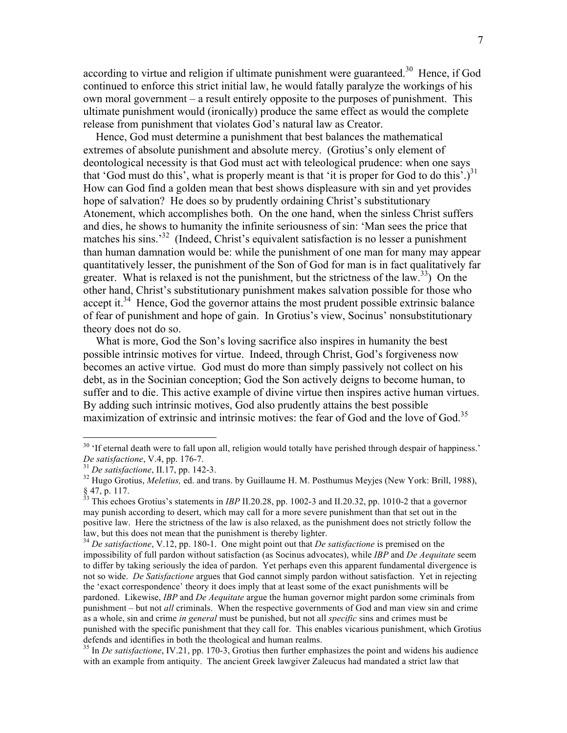according to virtue and religion if ultimate punishment were guaranteed.<sup>30</sup> Hence, if God continued to enforce this strict initial law, he would fatally paralyze the workings of his own moral government – a result entirely opposite to the purposes of punishment. This ultimate punishment would (ironically) produce the same effect as would the complete release from punishment that violates God's natural law as Creator.

Hence, God must determine a punishment that best balances the mathematical extremes of absolute punishment and absolute mercy. (Grotius's only element of deontological necessity is that God must act with teleological prudence: when one says that 'God must do this', what is properly meant is that 'it is proper for God to do this'.)<sup>31</sup> How can God find a golden mean that best shows displeasure with sin and yet provides hope of salvation? He does so by prudently ordaining Christ's substitutionary Atonement, which accomplishes both. On the one hand, when the sinless Christ suffers and dies, he shows to humanity the infinite seriousness of sin: 'Man sees the price that matches his sins.<sup>32</sup> (Indeed, Christ's equivalent satisfaction is no lesser a punishment than human damnation would be: while the punishment of one man for many may appear quantitatively lesser, the punishment of the Son of God for man is in fact qualitatively far greater. What is relaxed is not the punishment, but the strictness of the law.<sup>33</sup>) On the other hand, Christ's substitutionary punishment makes salvation possible for those who accept it. $34$  Hence, God the governor attains the most prudent possible extrinsic balance of fear of punishment and hope of gain. In Grotius's view, Socinus' nonsubstitutionary theory does not do so.

What is more, God the Son's loving sacrifice also inspires in humanity the best possible intrinsic motives for virtue. Indeed, through Christ, God's forgiveness now becomes an active virtue. God must do more than simply passively not collect on his debt, as in the Socinian conception; God the Son actively deigns to become human, to suffer and to die. This active example of divine virtue then inspires active human virtues. By adding such intrinsic motives, God also prudently attains the best possible maximization of extrinsic and intrinsic motives: the fear of God and the love of God.<sup>35</sup>

 $30$  'If eternal death were to fall upon all, religion would totally have perished through despair of happiness.'<br>De satisfactione, V.4, pp. 176-7.

<sup>&</sup>lt;sup>31</sup> *De satisfactione*, II.17, pp. 142-3.<br><sup>32</sup> Hugo Grotius, *Meletius*, ed. and trans. by Guillaume H. M. Posthumus Meyjes (New York: Brill, 1988), § 47, p. 117. <sup>33</sup> This echoes Grotius's statements in *IBP* II.20.28, pp. 1002-3 and II.20.32, pp. 1010-2 that a governor

may punish according to desert, which may call for a more severe punishment than that set out in the positive law. Here the strictness of the law is also relaxed, as the punishment does not strictly follow the law, but this does not mean that the punishment is thereby lighter.

<sup>34</sup> *De satisfactione*, V.12, pp. 180-1. One might point out that *De satisfactione* is premised on the impossibility of full pardon without satisfaction (as Socinus advocates), while *IBP* and *De Aequitate* seem to differ by taking seriously the idea of pardon. Yet perhaps even this apparent fundamental divergence is not so wide. *De Satisfactione* argues that God cannot simply pardon without satisfaction. Yet in rejecting the 'exact correspondence' theory it does imply that at least some of the exact punishments will be pardoned. Likewise, *IBP* and *De Aequitate* argue the human governor might pardon some criminals from punishment – but not *all* criminals. When the respective governments of God and man view sin and crime as a whole, sin and crime *in general* must be punished, but not all *specific* sins and crimes must be punished with the specific punishment that they call for. This enables vicarious punishment, which Grotius defends and identifies in both the theological and human realms.

<sup>&</sup>lt;sup>35</sup> In *De satisfactione*, IV.21, pp. 170-3, Grotius then further emphasizes the point and widens his audience with an example from antiquity. The ancient Greek lawgiver Zaleucus had mandated a strict law that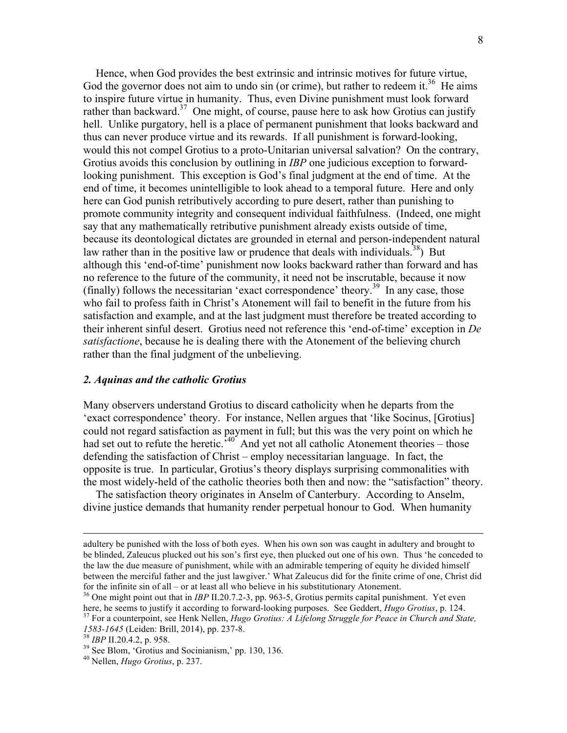Hence, when God provides the best extrinsic and intrinsic motives for future virtue, God the governor does not aim to undo sin (or crime), but rather to redeem it.<sup>36</sup> He aims to inspire future virtue in humanity. Thus, even Divine punishment must look forward rather than backward. $37$  One might, of course, pause here to ask how Grotius can justify hell. Unlike purgatory, hell is a place of permanent punishment that looks backward and thus can never produce virtue and its rewards. If all punishment is forward-looking, would this not compel Grotius to a proto-Unitarian universal salvation? On the contrary, Grotius avoids this conclusion by outlining in *IBP* one judicious exception to forwardlooking punishment. This exception is God's final judgment at the end of time. At the end of time, it becomes unintelligible to look ahead to a temporal future. Here and only here can God punish retributively according to pure desert, rather than punishing to promote community integrity and consequent individual faithfulness. (Indeed, one might say that any mathematically retributive punishment already exists outside of time, because its deontological dictates are grounded in eternal and person-independent natural law rather than in the positive law or prudence that deals with individuals.<sup>38</sup>) But although this 'end-of-time' punishment now looks backward rather than forward and has no reference to the future of the community, it need not be inscrutable, because it now (finally) follows the necessitarian 'exact correspondence' theory.<sup>39</sup> In any case, those who fail to profess faith in Christ's Atonement will fail to benefit in the future from his satisfaction and example, and at the last judgment must therefore be treated according to their inherent sinful desert. Grotius need not reference this 'end-of-time' exception in *De satisfactione*, because he is dealing there with the Atonement of the believing church rather than the final judgment of the unbelieving.

#### *2. Aquinas and the catholic Grotius*

Many observers understand Grotius to discard catholicity when he departs from the 'exact correspondence' theory. For instance, Nellen argues that 'like Socinus, [Grotius] could not regard satisfaction as payment in full; but this was the very point on which he had set out to refute the heretic.<sup>540</sup> And yet not all catholic Atonement theories – those defending the satisfaction of Christ – employ necessitarian language. In fact, the opposite is true. In particular, Grotius's theory displays surprising commonalities with the most widely-held of the catholic theories both then and now: the "satisfaction" theory.

The satisfaction theory originates in Anselm of Canterbury. According to Anselm, divine justice demands that humanity render perpetual honour to God. When humanity

adultery be punished with the loss of both eyes. When his own son was caught in adultery and brought to be blinded, Zaleucus plucked out his son's first eye, then plucked out one of his own. Thus 'he conceded to the law the due measure of punishment, while with an admirable tempering of equity he divided himself between the merciful father and the just lawgiver.' What Zaleucus did for the finite crime of one, Christ did for the infinite sin of all – or at least all who believe in his substitutionary Atonement. <sup>36</sup> One might point out that in *IBP* II.20.7.2-3, pp. 963-5, Grotius permits capital punishment. Yet even

here, he seems to justify it according to forward-looking purposes. See Geddert, *Hugo Grotius*, p. 124. <sup>37</sup> For a counterpoint, see Henk Nellen, *Hugo Grotius: A Lifelong Struggle for Peace in Church and State*,

*<sup>1583-1645 (</sup>Leiden: Brill, 2014), pp. 237-8.*<br><sup>38</sup> *IBP II.20.4.2, p. 958.*<br><sup>39</sup> See Blom, 'Grotius and Socinianism,' pp. 130, 136.<br><sup>40</sup> Nellen, *Hugo Grotius*, p. 237.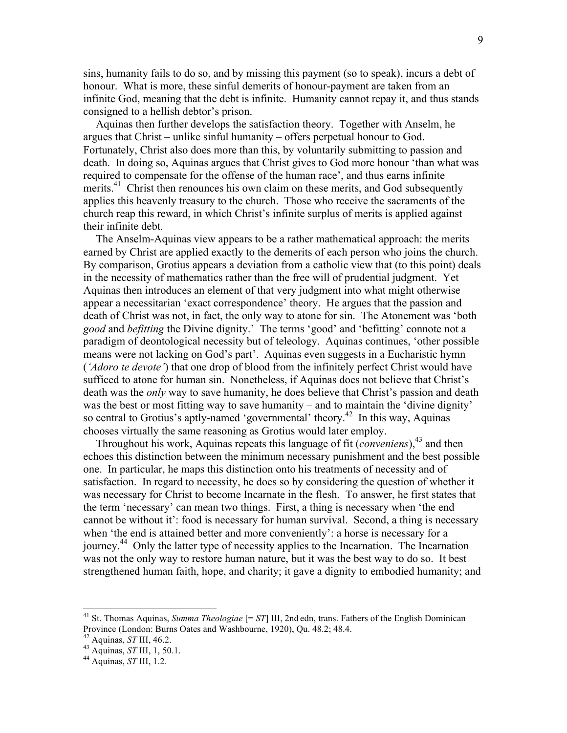sins, humanity fails to do so, and by missing this payment (so to speak), incurs a debt of honour. What is more, these sinful demerits of honour-payment are taken from an infinite God, meaning that the debt is infinite. Humanity cannot repay it, and thus stands consigned to a hellish debtor's prison.

Aquinas then further develops the satisfaction theory. Together with Anselm, he argues that Christ – unlike sinful humanity – offers perpetual honour to God. Fortunately, Christ also does more than this, by voluntarily submitting to passion and death. In doing so, Aquinas argues that Christ gives to God more honour 'than what was required to compensate for the offense of the human race', and thus earns infinite merits.<sup>41</sup> Christ then renounces his own claim on these merits, and God subsequently applies this heavenly treasury to the church. Those who receive the sacraments of the church reap this reward, in which Christ's infinite surplus of merits is applied against their infinite debt.

The Anselm-Aquinas view appears to be a rather mathematical approach: the merits earned by Christ are applied exactly to the demerits of each person who joins the church. By comparison, Grotius appears a deviation from a catholic view that (to this point) deals in the necessity of mathematics rather than the free will of prudential judgment. Yet Aquinas then introduces an element of that very judgment into what might otherwise appear a necessitarian 'exact correspondence' theory. He argues that the passion and death of Christ was not, in fact, the only way to atone for sin. The Atonement was 'both *good* and *befitting* the Divine dignity.' The terms 'good' and 'befitting' connote not a paradigm of deontological necessity but of teleology. Aquinas continues, 'other possible means were not lacking on God's part'. Aquinas even suggests in a Eucharistic hymn (*'Adoro te devote'*) that one drop of blood from the infinitely perfect Christ would have sufficed to atone for human sin. Nonetheless, if Aquinas does not believe that Christ's death was the *only* way to save humanity, he does believe that Christ's passion and death was the best or most fitting way to save humanity – and to maintain the 'divine dignity' so central to Grotius's aptiv-named 'governmental' theory.<sup>42</sup> In this way, Aquinas chooses virtually the same reasoning as Grotius would later employ.

Throughout his work, Aquinas repeats this language of fit (*conveniens*),<sup>43</sup> and then echoes this distinction between the minimum necessary punishment and the best possible one. In particular, he maps this distinction onto his treatments of necessity and of satisfaction. In regard to necessity, he does so by considering the question of whether it was necessary for Christ to become Incarnate in the flesh. To answer, he first states that the term 'necessary' can mean two things. First, a thing is necessary when 'the end cannot be without it': food is necessary for human survival. Second, a thing is necessary when 'the end is attained better and more conveniently': a horse is necessary for a journey.<sup>44</sup> Only the latter type of necessity applies to the Incarnation. The Incarnation was not the only way to restore human nature, but it was the best way to do so. It best strengthened human faith, hope, and charity; it gave a dignity to embodied humanity; and

<sup>&</sup>lt;sup>41</sup> St. Thomas Aquinas, *Summa Theologiae* [= *ST*] III, 2nd edn, trans. Fathers of the English Dominican Province (London: Burns Oates and Washbourne, 1920), Qu. 48.2; 48.4. <sup>42</sup> Aquinas, *ST* III, 46.2. <sup>43</sup> Aquinas, *ST* III, 1, 50.1. <sup>44</sup> Aquinas, *ST* III, 1.2.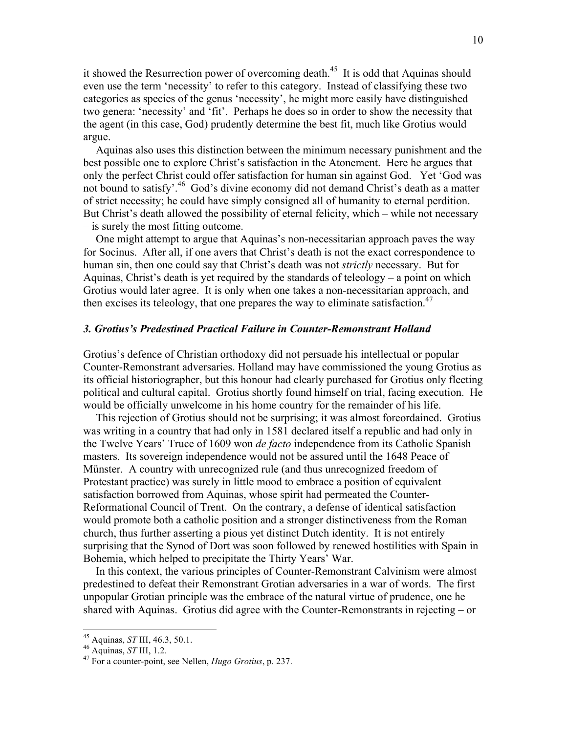it showed the Resurrection power of overcoming death.<sup>45</sup> It is odd that Aquinas should even use the term 'necessity' to refer to this category. Instead of classifying these two categories as species of the genus 'necessity', he might more easily have distinguished two genera: 'necessity' and 'fit'. Perhaps he does so in order to show the necessity that the agent (in this case, God) prudently determine the best fit, much like Grotius would argue.

Aquinas also uses this distinction between the minimum necessary punishment and the best possible one to explore Christ's satisfaction in the Atonement. Here he argues that only the perfect Christ could offer satisfaction for human sin against God. Yet 'God was not bound to satisfy'.<sup>46</sup> God's divine economy did not demand Christ's death as a matter of strict necessity; he could have simply consigned all of humanity to eternal perdition. But Christ's death allowed the possibility of eternal felicity, which – while not necessary – is surely the most fitting outcome.

One might attempt to argue that Aquinas's non-necessitarian approach paves the way for Socinus. After all, if one avers that Christ's death is not the exact correspondence to human sin, then one could say that Christ's death was not *strictly* necessary. But for Aquinas, Christ's death is yet required by the standards of teleology – a point on which Grotius would later agree. It is only when one takes a non-necessitarian approach, and then excises its teleology, that one prepares the way to eliminate satisfaction.<sup>47</sup>

#### *3. Grotius's Predestined Practical Failure in Counter-Remonstrant Holland*

Grotius's defence of Christian orthodoxy did not persuade his intellectual or popular Counter-Remonstrant adversaries. Holland may have commissioned the young Grotius as its official historiographer, but this honour had clearly purchased for Grotius only fleeting political and cultural capital. Grotius shortly found himself on trial, facing execution. He would be officially unwelcome in his home country for the remainder of his life.

This rejection of Grotius should not be surprising; it was almost foreordained. Grotius was writing in a country that had only in 1581 declared itself a republic and had only in the Twelve Years' Truce of 1609 won *de facto* independence from its Catholic Spanish masters. Its sovereign independence would not be assured until the 1648 Peace of Münster. A country with unrecognized rule (and thus unrecognized freedom of Protestant practice) was surely in little mood to embrace a position of equivalent satisfaction borrowed from Aquinas, whose spirit had permeated the Counter-Reformational Council of Trent. On the contrary, a defense of identical satisfaction would promote both a catholic position and a stronger distinctiveness from the Roman church, thus further asserting a pious yet distinct Dutch identity. It is not entirely surprising that the Synod of Dort was soon followed by renewed hostilities with Spain in Bohemia, which helped to precipitate the Thirty Years' War.

In this context, the various principles of Counter-Remonstrant Calvinism were almost predestined to defeat their Remonstrant Grotian adversaries in a war of words. The first unpopular Grotian principle was the embrace of the natural virtue of prudence, one he shared with Aquinas. Grotius did agree with the Counter-Remonstrants in rejecting – or

<sup>&</sup>lt;sup>45</sup> Aquinas, *ST* III, 46.3, 50.1.<br><sup>46</sup> Aquinas, *ST* III, 1.2.<br><sup>47</sup> For a counter-point, see Nellen, *Hugo Grotius*, p. 237.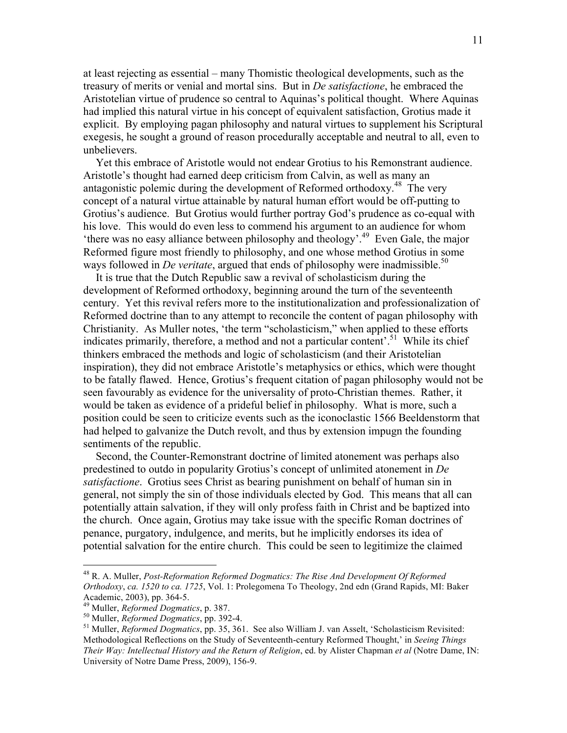at least rejecting as essential – many Thomistic theological developments, such as the treasury of merits or venial and mortal sins. But in *De satisfactione*, he embraced the Aristotelian virtue of prudence so central to Aquinas's political thought. Where Aquinas had implied this natural virtue in his concept of equivalent satisfaction, Grotius made it explicit. By employing pagan philosophy and natural virtues to supplement his Scriptural exegesis, he sought a ground of reason procedurally acceptable and neutral to all, even to unbelievers.

Yet this embrace of Aristotle would not endear Grotius to his Remonstrant audience. Aristotle's thought had earned deep criticism from Calvin, as well as many an antagonistic polemic during the development of Reformed orthodoxy.<sup>48</sup> The very concept of a natural virtue attainable by natural human effort would be off-putting to Grotius's audience. But Grotius would further portray God's prudence as co-equal with his love. This would do even less to commend his argument to an audience for whom 'there was no easy alliance between philosophy and theology'. <sup>49</sup> Even Gale, the major Reformed figure most friendly to philosophy, and one whose method Grotius in some ways followed in *De veritate*, argued that ends of philosophy were inadmissible.<sup>50</sup>

It is true that the Dutch Republic saw a revival of scholasticism during the development of Reformed orthodoxy, beginning around the turn of the seventeenth century. Yet this revival refers more to the institutionalization and professionalization of Reformed doctrine than to any attempt to reconcile the content of pagan philosophy with Christianity. As Muller notes, 'the term "scholasticism," when applied to these efforts indicates primarily, therefore, a method and not a particular content'.<sup>51</sup> While its chief thinkers embraced the methods and logic of scholasticism (and their Aristotelian inspiration), they did not embrace Aristotle's metaphysics or ethics, which were thought to be fatally flawed. Hence, Grotius's frequent citation of pagan philosophy would not be seen favourably as evidence for the universality of proto-Christian themes. Rather, it would be taken as evidence of a prideful belief in philosophy. What is more, such a position could be seen to criticize events such as the iconoclastic 1566 Beeldenstorm that had helped to galvanize the Dutch revolt, and thus by extension impugn the founding sentiments of the republic.

Second, the Counter-Remonstrant doctrine of limited atonement was perhaps also predestined to outdo in popularity Grotius's concept of unlimited atonement in *De satisfactione*. Grotius sees Christ as bearing punishment on behalf of human sin in general, not simply the sin of those individuals elected by God. This means that all can potentially attain salvation, if they will only profess faith in Christ and be baptized into the church. Once again, Grotius may take issue with the specific Roman doctrines of penance, purgatory, indulgence, and merits, but he implicitly endorses its idea of potential salvation for the entire church. This could be seen to legitimize the claimed

 <sup>48</sup> R. A. Muller, *Post-Reformation Reformed Dogmatics: The Rise And Development Of Reformed Orthodoxy*, *ca. 1520 to ca. 1725*, Vol. 1: Prolegomena To Theology, 2nd edn (Grand Rapids, MI: Baker Academic, 2003), pp. 364-5.<br><sup>49</sup> Muller, *Reformed Dogmatics*, p. 387.<br><sup>50</sup> Muller, *Reformed Dogmatics*, pp. 392-4.<br><sup>51</sup> Muller, *Reformed Dogmatics*, pp. 35, 361. See also William J. van Asselt, 'Scholasticism Revisited:

Methodological Reflections on the Study of Seventeenth-century Reformed Thought,' in *Seeing Things Their Way: Intellectual History and the Return of Religion*, ed. by Alister Chapman *et al* (Notre Dame, IN: University of Notre Dame Press, 2009), 156-9.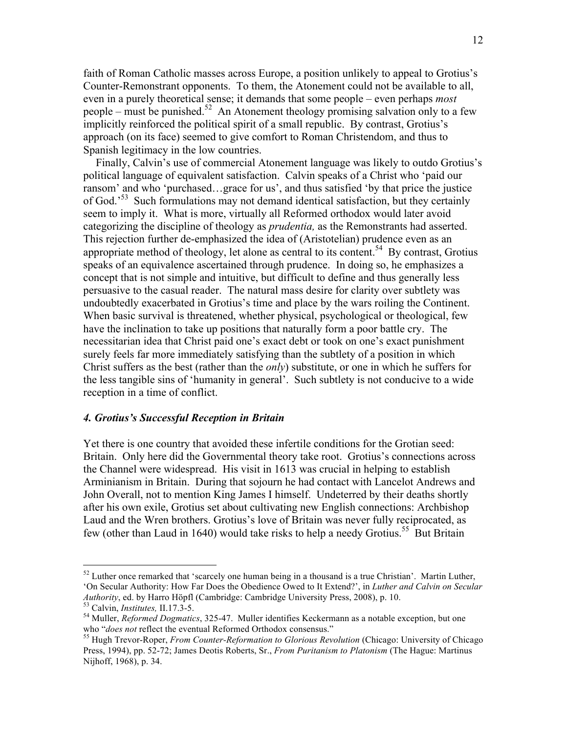faith of Roman Catholic masses across Europe, a position unlikely to appeal to Grotius's Counter-Remonstrant opponents. To them, the Atonement could not be available to all, even in a purely theoretical sense; it demands that some people – even perhaps *most* people – must be punished. <sup>52</sup> An Atonement theology promising salvation only to a few implicitly reinforced the political spirit of a small republic. By contrast, Grotius's approach (on its face) seemed to give comfort to Roman Christendom, and thus to Spanish legitimacy in the low countries.

Finally, Calvin's use of commercial Atonement language was likely to outdo Grotius's political language of equivalent satisfaction. Calvin speaks of a Christ who 'paid our ransom' and who 'purchased…grace for us', and thus satisfied 'by that price the justice of God.'53 Such formulations may not demand identical satisfaction, but they certainly seem to imply it. What is more, virtually all Reformed orthodox would later avoid categorizing the discipline of theology as *prudentia,* as the Remonstrants had asserted. This rejection further de-emphasized the idea of (Aristotelian) prudence even as an appropriate method of theology, let alone as central to its content.<sup>54</sup> By contrast, Grotius speaks of an equivalence ascertained through prudence. In doing so, he emphasizes a concept that is not simple and intuitive, but difficult to define and thus generally less persuasive to the casual reader. The natural mass desire for clarity over subtlety was undoubtedly exacerbated in Grotius's time and place by the wars roiling the Continent. When basic survival is threatened, whether physical, psychological or theological, few have the inclination to take up positions that naturally form a poor battle cry. The necessitarian idea that Christ paid one's exact debt or took on one's exact punishment surely feels far more immediately satisfying than the subtlety of a position in which Christ suffers as the best (rather than the *only*) substitute, or one in which he suffers for the less tangible sins of 'humanity in general'. Such subtlety is not conducive to a wide reception in a time of conflict.

#### *4. Grotius's Successful Reception in Britain*

Yet there is one country that avoided these infertile conditions for the Grotian seed: Britain. Only here did the Governmental theory take root. Grotius's connections across the Channel were widespread. His visit in 1613 was crucial in helping to establish Arminianism in Britain. During that sojourn he had contact with Lancelot Andrews and John Overall, not to mention King James I himself. Undeterred by their deaths shortly after his own exile, Grotius set about cultivating new English connections: Archbishop Laud and the Wren brothers. Grotius's love of Britain was never fully reciprocated, as few (other than Laud in 1640) would take risks to help a needy Grotius.<sup>55</sup> But Britain

<sup>&</sup>lt;sup>52</sup> Luther once remarked that 'scarcely one human being in a thousand is a true Christian'. Martin Luther, 'On Secular Authority: How Far Does the Obedience Owed to It Extend?', in *Luther and Calvin on Secular* 

<sup>&</sup>lt;sup>53</sup> Calvin, *Institutes*, II.17.3-5.<br><sup>54</sup> Muller, *Reformed Dogmatics*, 325-47. Muller identifies Keckermann as a notable exception, but one who "*does not* reflect the eventual Reformed Orthodox consensus."

<sup>&</sup>lt;sup>55</sup> Hugh Trevor-Roper, *From Counter-Reformation to Glorious Revolution* (Chicago: University of Chicago Press, 1994), pp. 52-72; James Deotis Roberts, Sr., *From Puritanism to Platonism* (The Hague: Martinus Nijhoff, 1968), p. 34.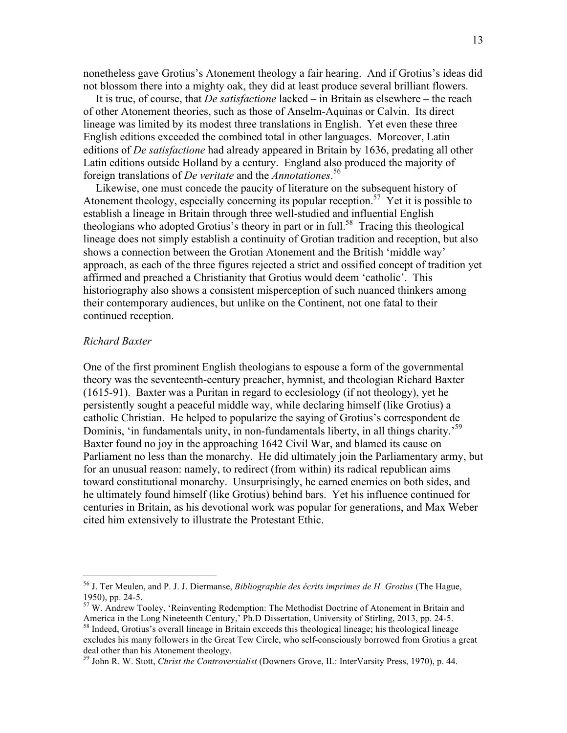nonetheless gave Grotius's Atonement theology a fair hearing. And if Grotius's ideas did not blossom there into a mighty oak, they did at least produce several brilliant flowers.

It is true, of course, that *De satisfactione* lacked – in Britain as elsewhere – the reach of other Atonement theories, such as those of Anselm-Aquinas or Calvin. Its direct lineage was limited by its modest three translations in English. Yet even these three English editions exceeded the combined total in other languages. Moreover, Latin editions of *De satisfactione* had already appeared in Britain by 1636, predating all other Latin editions outside Holland by a century. England also produced the majority of foreign translations of *De veritate* and the *Annotationes*. 56

Likewise, one must concede the paucity of literature on the subsequent history of Atonement theology, especially concerning its popular reception.<sup>57</sup> Yet it is possible to establish a lineage in Britain through three well-studied and influential English theologians who adopted Grotius's theory in part or in full.<sup>58</sup> Tracing this theological lineage does not simply establish a continuity of Grotian tradition and reception, but also shows a connection between the Grotian Atonement and the British 'middle way' approach, as each of the three figures rejected a strict and ossified concept of tradition yet affirmed and preached a Christianity that Grotius would deem 'catholic'. This historiography also shows a consistent misperception of such nuanced thinkers among their contemporary audiences, but unlike on the Continent, not one fatal to their continued reception.

#### *Richard Baxter*

One of the first prominent English theologians to espouse a form of the governmental theory was the seventeenth-century preacher, hymnist, and theologian Richard Baxter (1615-91). Baxter was a Puritan in regard to ecclesiology (if not theology), yet he persistently sought a peaceful middle way, while declaring himself (like Grotius) a catholic Christian. He helped to popularize the saying of Grotius's correspondent de Dominis, 'in fundamentals unity, in non-fundamentals liberty, in all things charity.<sup>59</sup> Baxter found no joy in the approaching 1642 Civil War, and blamed its cause on Parliament no less than the monarchy. He did ultimately join the Parliamentary army, but for an unusual reason: namely, to redirect (from within) its radical republican aims toward constitutional monarchy. Unsurprisingly, he earned enemies on both sides, and he ultimately found himself (like Grotius) behind bars. Yet his influence continued for centuries in Britain, as his devotional work was popular for generations, and Max Weber cited him extensively to illustrate the Protestant Ethic.

<sup>&</sup>lt;sup>56</sup> J. Ter Meulen, and P. J. J. Diermanse, *Bibliographie des écrits imprimes de H. Grotius* (The Hague, 1950), pp. 24-5.

 $197$  W. Andrew Tooley, 'Reinventing Redemption: The Methodist Doctrine of Atonement in Britain and America in the Long Nineteenth Century,' Ph.D Dissertation, University of Stirling, 2013, pp. 24-5. <sup>58</sup> Indeed, Grotius's overall lineage in Britain exceeds this theological lineage; his theological lineage

excludes his many followers in the Great Tew Circle, who self-consciously borrowed from Grotius a great deal other than his Atonement theology.

<sup>59</sup> John R. W. Stott, *Christ the Controversialist* (Downers Grove, IL: InterVarsity Press, 1970), p. 44.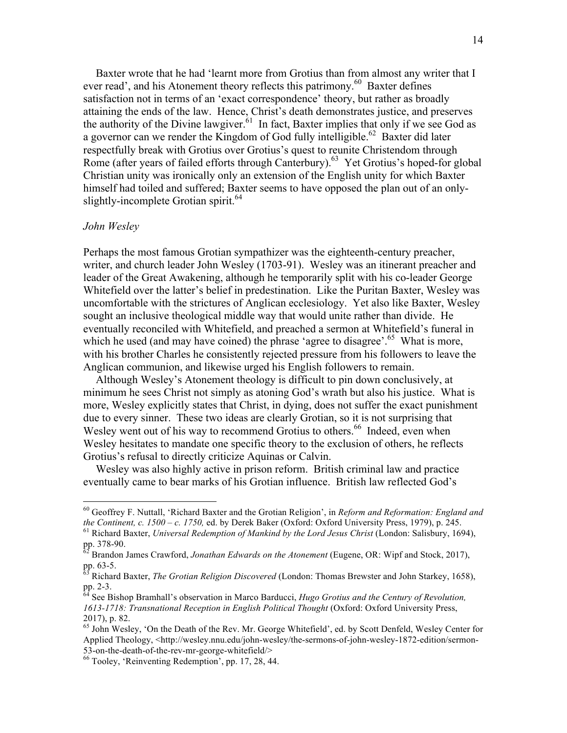Baxter wrote that he had 'learnt more from Grotius than from almost any writer that I ever read', and his Atonement theory reflects this patrimony.<sup>60</sup> Baxter defines satisfaction not in terms of an 'exact correspondence' theory, but rather as broadly attaining the ends of the law. Hence, Christ's death demonstrates justice, and preserves the authority of the Divine lawgiver.  $61$  In fact, Baxter implies that only if we see God as a governor can we render the Kingdom of God fully intelligible.<sup>62</sup> Baxter did later respectfully break with Grotius over Grotius's quest to reunite Christendom through Rome (after years of failed efforts through Canterbury).<sup>63</sup> Yet Grotius's hoped-for global Christian unity was ironically only an extension of the English unity for which Baxter himself had toiled and suffered; Baxter seems to have opposed the plan out of an onlyslightly-incomplete Grotian spirit.<sup>64</sup>

#### *John Wesley*

Perhaps the most famous Grotian sympathizer was the eighteenth-century preacher, writer, and church leader John Wesley (1703-91). Wesley was an itinerant preacher and leader of the Great Awakening, although he temporarily split with his co-leader George Whitefield over the latter's belief in predestination. Like the Puritan Baxter, Wesley was uncomfortable with the strictures of Anglican ecclesiology. Yet also like Baxter, Wesley sought an inclusive theological middle way that would unite rather than divide. He eventually reconciled with Whitefield, and preached a sermon at Whitefield's funeral in which he used (and may have coined) the phrase 'agree to disagree'.<sup>65</sup> What is more, with his brother Charles he consistently rejected pressure from his followers to leave the Anglican communion, and likewise urged his English followers to remain.

Although Wesley's Atonement theology is difficult to pin down conclusively, at minimum he sees Christ not simply as atoning God's wrath but also his justice. What is more, Wesley explicitly states that Christ, in dying, does not suffer the exact punishment due to every sinner. These two ideas are clearly Grotian, so it is not surprising that Wesley went out of his way to recommend Grotius to others.<sup>66</sup> Indeed, even when Wesley hesitates to mandate one specific theory to the exclusion of others, he reflects Grotius's refusal to directly criticize Aquinas or Calvin.

Wesley was also highly active in prison reform. British criminal law and practice eventually came to bear marks of his Grotian influence. British law reflected God's

 <sup>60</sup> Geoffrey F. Nuttall, 'Richard Baxter and the Grotian Religion', in *Reform and Reformation: England and* 

*the Continent, c. 1500 – c. 1750,* ed. by Derek Baker (Oxford: Oxford University Press, 1979), p. 245.<br><sup>61</sup> Richard Baxter, *Universal Redemption of Mankind by the Lord Jesus Christ* (London: Salisbury, 1694), pp. 378-90

<sup>&</sup>lt;sup>62</sup> Brandon James Crawford, *Jonathan Edwards on the Atonement* (Eugene, OR: Wipf and Stock, 2017), pp. 63-5.

 $^{63}$  Richard Baxter, *The Grotian Religion Discovered* (London: Thomas Brewster and John Starkey, 1658), pp. 2-3.<br> $^{64}$  See Bishar Branchall's she with the state of the state of the state of the state of the state of t

pp. 2-3. <sup>64</sup> See Bishop Bramhall's observation in Marco Barducci, *Hugo Grotius and the Century of Revolution, 1613-1718: Transnational Reception in English Political Thought* (Oxford: Oxford University Press, 2017), p. 82.

<sup>&</sup>lt;sup>65</sup> John Wesley, 'On the Death of the Rev. Mr. George Whitefield', ed. by Scott Denfeld, Wesley Center for Applied Theology, <http://wesley.nnu.edu/john-wesley/the-sermons-of-john-wesley-1872-edition/sermon-53-on-the-death-of-the-rev-mr-george-whitefield/> <sup>66</sup> Tooley, 'Reinventing Redemption', pp. 17, 28, 44.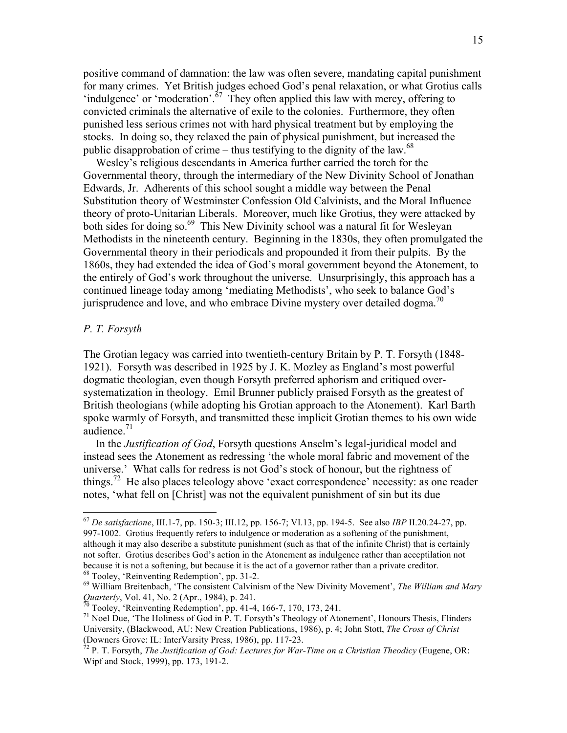positive command of damnation: the law was often severe, mandating capital punishment for many crimes. Yet British judges echoed God's penal relaxation, or what Grotius calls 'indulgence' or 'moderation'.<sup> $67$ </sup> They often applied this law with mercy, offering to convicted criminals the alternative of exile to the colonies. Furthermore, they often punished less serious crimes not with hard physical treatment but by employing the stocks. In doing so, they relaxed the pain of physical punishment, but increased the public disapprobation of crime – thus testifying to the dignity of the law.<sup>68</sup>

Wesley's religious descendants in America further carried the torch for the Governmental theory, through the intermediary of the New Divinity School of Jonathan Edwards, Jr. Adherents of this school sought a middle way between the Penal Substitution theory of Westminster Confession Old Calvinists, and the Moral Influence theory of proto-Unitarian Liberals. Moreover, much like Grotius, they were attacked by both sides for doing so.<sup>69</sup> This New Divinity school was a natural fit for Wesleyan Methodists in the nineteenth century. Beginning in the 1830s, they often promulgated the Governmental theory in their periodicals and propounded it from their pulpits. By the 1860s, they had extended the idea of God's moral government beyond the Atonement, to the entirely of God's work throughout the universe. Unsurprisingly, this approach has a continued lineage today among 'mediating Methodists', who seek to balance God's jurisprudence and love, and who embrace Divine mystery over detailed dogma.<sup>70</sup>

#### *P. T. Forsyth*

The Grotian legacy was carried into twentieth-century Britain by P. T. Forsyth (1848- 1921). Forsyth was described in 1925 by J. K. Mozley as England's most powerful dogmatic theologian, even though Forsyth preferred aphorism and critiqued oversystematization in theology. Emil Brunner publicly praised Forsyth as the greatest of British theologians (while adopting his Grotian approach to the Atonement). Karl Barth spoke warmly of Forsyth, and transmitted these implicit Grotian themes to his own wide audience. $71$ 

In the *Justification of God*, Forsyth questions Anselm's legal-juridical model and instead sees the Atonement as redressing 'the whole moral fabric and movement of the universe.' What calls for redress is not God's stock of honour, but the rightness of things.<sup>72</sup> He also places teleology above 'exact correspondence' necessity: as one reader notes, 'what fell on [Christ] was not the equivalent punishment of sin but its due

 <sup>67</sup> *De satisfactione*, III.1-7, pp. 150-3; III.12, pp. 156-7; VI.13, pp. 194-5. See also *IBP* II.20.24-27, pp. 997-1002. Grotius frequently refers to indulgence or moderation as a softening of the punishment, although it may also describe a substitute punishment (such as that of the infinite Christ) that is certainly not softer. Grotius describes God's action in the Atonement as indulgence rather than acceptilation not because it is not a softening, but because it is the act of a governor rather than a private creditor.<br><sup>68</sup> Tooley, 'Reinventing Redemption', pp. 31-2.

<sup>&</sup>lt;sup>69</sup> William Breitenbach, 'The consistent Calvinism of the New Divinity Movement', *The William and Mary Quarterly*, Vol. 41, No. 2 (Apr., 1984), p. 241.

 $\frac{1}{20}$  Tooley, 'Reinventing Redemption', pp. 41-4, 166-7, 170, 173, 241.<br><sup>71</sup> Noel Due, 'The Holiness of God in P. T. Forsyth's Theology of Atonement', Honours Thesis, Flinders University, (Blackwood, AU: New Creation Publications, 1986), p. 4; John Stott, *The Cross of Christ*  (Downers Grove: IL: InterVarsity Press, 1986), pp. 117-23.<br><sup>72</sup> P. T. Forsyth, *The Justification of God: Lectures for War-Time on a Christian Theodicy* (Eugene, OR:

Wipf and Stock, 1999), pp. 173, 191-2.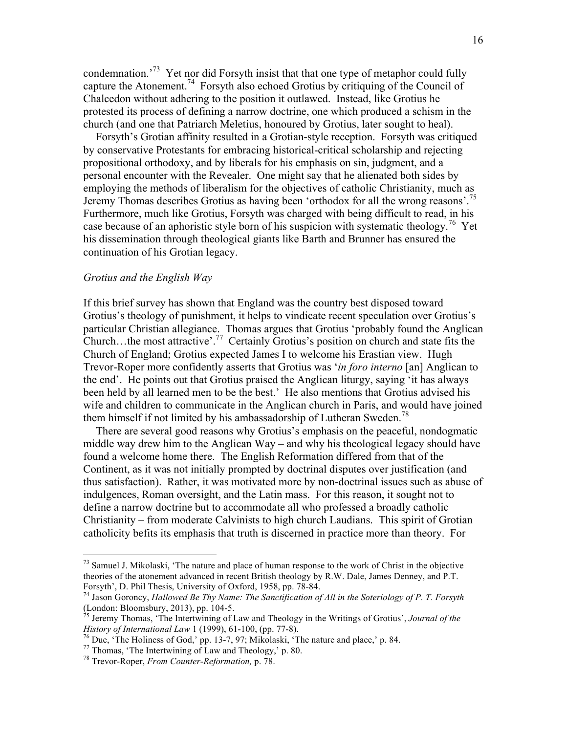condemnation.<sup>73</sup> Yet nor did Forsyth insist that that one type of metaphor could fully capture the Atonement.<sup>74</sup> Forsyth also echoed Grotius by critiquing of the Council of Chalcedon without adhering to the position it outlawed. Instead, like Grotius he protested its process of defining a narrow doctrine, one which produced a schism in the church (and one that Patriarch Meletius, honoured by Grotius, later sought to heal).

Forsyth's Grotian affinity resulted in a Grotian-style reception. Forsyth was critiqued by conservative Protestants for embracing historical-critical scholarship and rejecting propositional orthodoxy, and by liberals for his emphasis on sin, judgment, and a personal encounter with the Revealer. One might say that he alienated both sides by employing the methods of liberalism for the objectives of catholic Christianity, much as Jeremy Thomas describes Grotius as having been 'orthodox for all the wrong reasons'.75 Furthermore, much like Grotius, Forsyth was charged with being difficult to read, in his case because of an aphoristic style born of his suspicion with systematic theology.<sup>76</sup> Yet his dissemination through theological giants like Barth and Brunner has ensured the continuation of his Grotian legacy.

#### *Grotius and the English Way*

If this brief survey has shown that England was the country best disposed toward Grotius's theology of punishment, it helps to vindicate recent speculation over Grotius's particular Christian allegiance. Thomas argues that Grotius 'probably found the Anglican Church…the most attractive'.<sup>77</sup> Certainly Grotius's position on church and state fits the Church of England; Grotius expected James I to welcome his Erastian view. Hugh Trevor-Roper more confidently asserts that Grotius was '*in foro interno* [an] Anglican to the end'. He points out that Grotius praised the Anglican liturgy, saying 'it has always been held by all learned men to be the best.' He also mentions that Grotius advised his wife and children to communicate in the Anglican church in Paris, and would have joined them himself if not limited by his ambassadorship of Lutheran Sweden.<sup>78</sup>

There are several good reasons why Grotius's emphasis on the peaceful, nondogmatic middle way drew him to the Anglican Way – and why his theological legacy should have found a welcome home there. The English Reformation differed from that of the Continent, as it was not initially prompted by doctrinal disputes over justification (and thus satisfaction). Rather, it was motivated more by non-doctrinal issues such as abuse of indulgences, Roman oversight, and the Latin mass. For this reason, it sought not to define a narrow doctrine but to accommodate all who professed a broadly catholic Christianity – from moderate Calvinists to high church Laudians. This spirit of Grotian catholicity befits its emphasis that truth is discerned in practice more than theory. For

 $^{73}$  Samuel J. Mikolaski, 'The nature and place of human response to the work of Christ in the objective theories of the atonement advanced in recent British theology by R.W. Dale, James Denney, and P.T. Forsyth', D. Phil Thesis, University of Oxford, 1958, pp. 78-84.<br><sup>74</sup> Jason Goroncy, *Hallowed Be Thy Name: The Sanctification of All in the Soteriology of P. T. Forsyth* 

<sup>(</sup>London: Bloomsbury, 2013), pp. 104-5.<br><sup>75</sup> Jeremy Thomas, 'The Intertwining of Law and Theology in the Writings of Grotius', *Journal of the* 

*History of International Law* 1 (1999), 61-100, (pp. 77-8).<br><sup>76</sup> Due, 'The Holiness of God,' pp. 13-7, 97; Mikolaski, 'The nature and place,' p. 84.<br><sup>77</sup> Thomas, 'The Intertwining of Law and Theology,' p. 80.<br><sup>78</sup> Trevor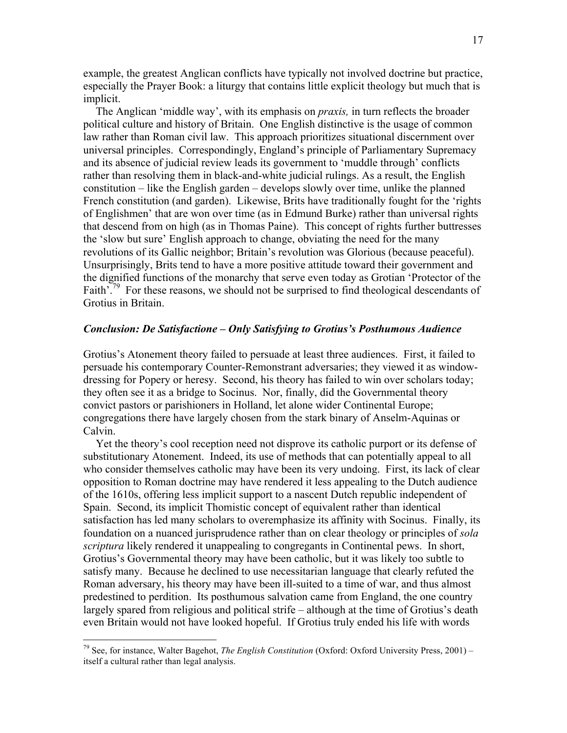example, the greatest Anglican conflicts have typically not involved doctrine but practice, especially the Prayer Book: a liturgy that contains little explicit theology but much that is implicit.

The Anglican 'middle way', with its emphasis on *praxis,* in turn reflects the broader political culture and history of Britain. One English distinctive is the usage of common law rather than Roman civil law. This approach prioritizes situational discernment over universal principles. Correspondingly, England's principle of Parliamentary Supremacy and its absence of judicial review leads its government to 'muddle through' conflicts rather than resolving them in black-and-white judicial rulings. As a result, the English constitution – like the English garden – develops slowly over time, unlike the planned French constitution (and garden). Likewise, Brits have traditionally fought for the 'rights of Englishmen' that are won over time (as in Edmund Burke) rather than universal rights that descend from on high (as in Thomas Paine). This concept of rights further buttresses the 'slow but sure' English approach to change, obviating the need for the many revolutions of its Gallic neighbor; Britain's revolution was Glorious (because peaceful). Unsurprisingly, Brits tend to have a more positive attitude toward their government and the dignified functions of the monarchy that serve even today as Grotian 'Protector of the Faith<sup>'.79</sup> For these reasons, we should not be surprised to find theological descendants of Grotius in Britain.

#### *Conclusion: De Satisfactione – Only Satisfying to Grotius's Posthumous Audience*

Grotius's Atonement theory failed to persuade at least three audiences. First, it failed to persuade his contemporary Counter-Remonstrant adversaries; they viewed it as windowdressing for Popery or heresy. Second, his theory has failed to win over scholars today; they often see it as a bridge to Socinus. Nor, finally, did the Governmental theory convict pastors or parishioners in Holland, let alone wider Continental Europe; congregations there have largely chosen from the stark binary of Anselm-Aquinas or Calvin.

Yet the theory's cool reception need not disprove its catholic purport or its defense of substitutionary Atonement. Indeed, its use of methods that can potentially appeal to all who consider themselves catholic may have been its very undoing. First, its lack of clear opposition to Roman doctrine may have rendered it less appealing to the Dutch audience of the 1610s, offering less implicit support to a nascent Dutch republic independent of Spain. Second, its implicit Thomistic concept of equivalent rather than identical satisfaction has led many scholars to overemphasize its affinity with Socinus. Finally, its foundation on a nuanced jurisprudence rather than on clear theology or principles of *sola scriptura* likely rendered it unappealing to congregants in Continental pews. In short, Grotius's Governmental theory may have been catholic, but it was likely too subtle to satisfy many. Because he declined to use necessitarian language that clearly refuted the Roman adversary, his theory may have been ill-suited to a time of war, and thus almost predestined to perdition. Its posthumous salvation came from England, the one country largely spared from religious and political strife – although at the time of Grotius's death even Britain would not have looked hopeful. If Grotius truly ended his life with words

 <sup>79</sup> See, for instance, Walter Bagehot, *The English Constitution* (Oxford: Oxford University Press, 2001) – itself a cultural rather than legal analysis.